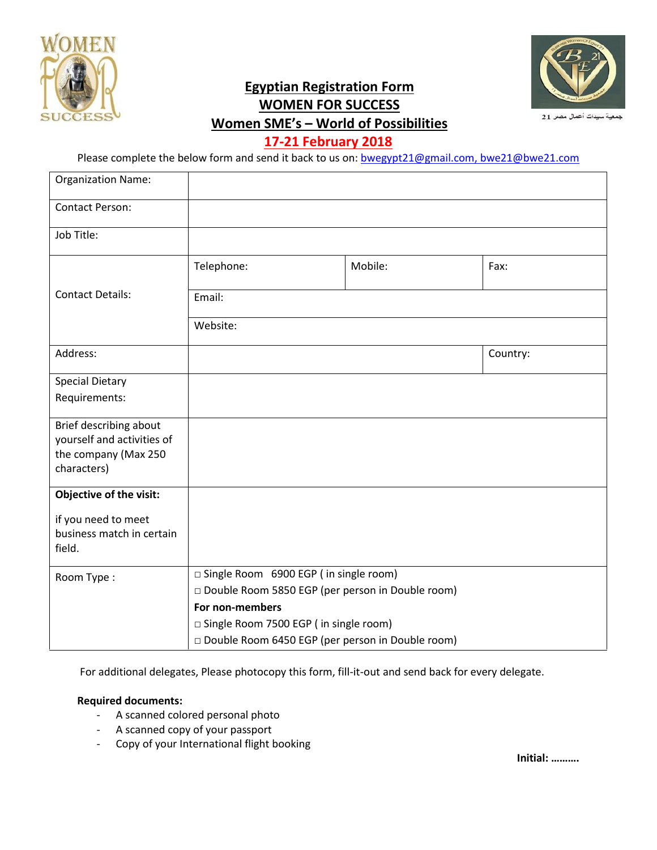



# **Egyptian Registration Form WOMEN FOR SUCCESS Women SME's – World of Possibilities**

جمعية سيدات أعمال مصر 21

## **17-21 February 2018**

Please complete the below form and send it back to us on: **bwegypt21@gmail.com**, bwe21@bwe21.com

| Telephone:                                       | Mobile:         | Fax:                                                                                                                                    |
|--------------------------------------------------|-----------------|-----------------------------------------------------------------------------------------------------------------------------------------|
| Email:                                           |                 |                                                                                                                                         |
| Website:                                         |                 |                                                                                                                                         |
|                                                  |                 | Country:                                                                                                                                |
|                                                  |                 |                                                                                                                                         |
|                                                  |                 |                                                                                                                                         |
|                                                  |                 |                                                                                                                                         |
|                                                  |                 |                                                                                                                                         |
|                                                  |                 |                                                                                                                                         |
|                                                  |                 |                                                                                                                                         |
|                                                  |                 |                                                                                                                                         |
|                                                  |                 |                                                                                                                                         |
|                                                  |                 |                                                                                                                                         |
|                                                  |                 |                                                                                                                                         |
|                                                  |                 |                                                                                                                                         |
|                                                  |                 |                                                                                                                                         |
|                                                  |                 |                                                                                                                                         |
|                                                  |                 |                                                                                                                                         |
| Double Room 6450 EGP (per person in Double room) |                 |                                                                                                                                         |
|                                                  | For non-members | □ Single Room 6900 EGP (in single room)<br>Double Room 5850 EGP (per person in Double room)<br>□ Single Room 7500 EGP ( in single room) |

For additional delegates, Please photocopy this form, fill-it-out and send back for every delegate.

#### **Required documents:**

- A scanned colored personal photo
- A scanned copy of your passport
- Copy of your International flight booking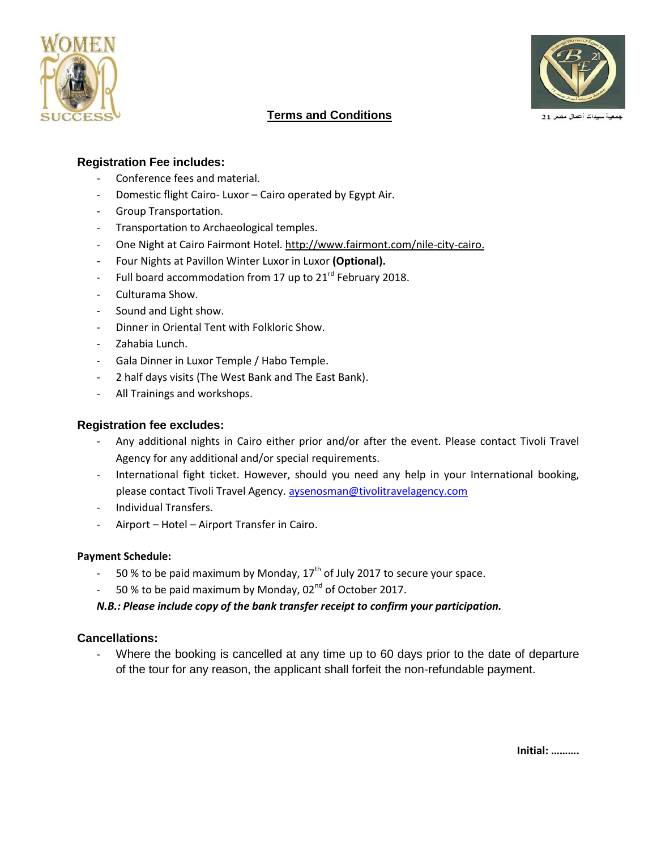



**Terms and Conditions**

### **Registration Fee includes:**

- Conference fees and material.
- Domestic flight Cairo- Luxor Cairo operated by Egypt Air.
- Group Transportation.
- Transportation to Archaeological temples.
- One Night at Cairo Fairmont Hotel. [http://www.fairmont.com/nile-city-cairo.](http://www.fairmont.com/nile-city-cairo)
- Four Nights at Pavillon Winter Luxor in Luxor **(Optional).**
- Full board accommodation from 17 up to  $21<sup>rd</sup>$  February 2018.
- Culturama Show.
- Sound and Light show.
- Dinner in Oriental Tent with Folkloric Show.
- Zahabia Lunch.
- Gala Dinner in Luxor Temple / Habo Temple.
- 2 half days visits (The West Bank and The East Bank).
- All Trainings and workshops.

#### **Registration fee excludes:**

- Any additional nights in Cairo either prior and/or after the event. Please contact Tivoli Travel Agency for any additional and/or special requirements.
- International fight ticket. However, should you need any help in your International booking, please contact Tivoli Travel Agency. [aysenosman@tivolitravelagency.com](mailto:aysenosman@tivolitravelagency.com)
- Individual Transfers.
- Airport Hotel Airport Transfer in Cairo.

#### **Payment Schedule:**

- 50 % to be paid maximum by Monday,  $17<sup>th</sup>$  of July 2017 to secure your space.
- 50 % to be paid maximum by Monday,  $02<sup>nd</sup>$  of October 2017.

*N.B.: Please include copy of the bank transfer receipt to confirm your participation.* 

#### **Cancellations:**

- Where the booking is cancelled at any time up to 60 days prior to the date of departure of the tour for any reason, the applicant shall forfeit the non-refundable payment.

**Initial: ……….**